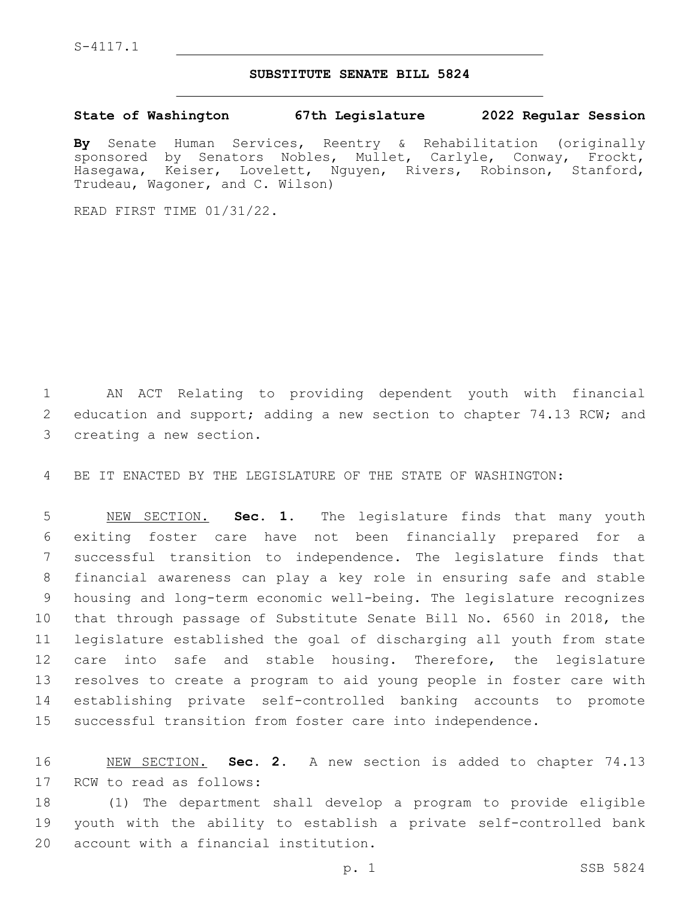S-4117.1

## **SUBSTITUTE SENATE BILL 5824**

**State of Washington 67th Legislature 2022 Regular Session**

**By** Senate Human Services, Reentry & Rehabilitation (originally sponsored by Senators Nobles, Mullet, Carlyle, Conway, Frockt, Hasegawa, Keiser, Lovelett, Nguyen, Rivers, Robinson, Stanford, Trudeau, Wagoner, and C. Wilson)

READ FIRST TIME 01/31/22.

1 AN ACT Relating to providing dependent youth with financial 2 education and support; adding a new section to chapter 74.13 RCW; and 3 creating a new section.

4 BE IT ENACTED BY THE LEGISLATURE OF THE STATE OF WASHINGTON:

 NEW SECTION. **Sec. 1.** The legislature finds that many youth exiting foster care have not been financially prepared for a successful transition to independence. The legislature finds that financial awareness can play a key role in ensuring safe and stable housing and long-term economic well-being. The legislature recognizes that through passage of Substitute Senate Bill No. 6560 in 2018, the legislature established the goal of discharging all youth from state care into safe and stable housing. Therefore, the legislature resolves to create a program to aid young people in foster care with establishing private self-controlled banking accounts to promote successful transition from foster care into independence.

16 NEW SECTION. **Sec. 2.** A new section is added to chapter 74.13 17 RCW to read as follows:

18 (1) The department shall develop a program to provide eligible 19 youth with the ability to establish a private self-controlled bank 20 account with a financial institution.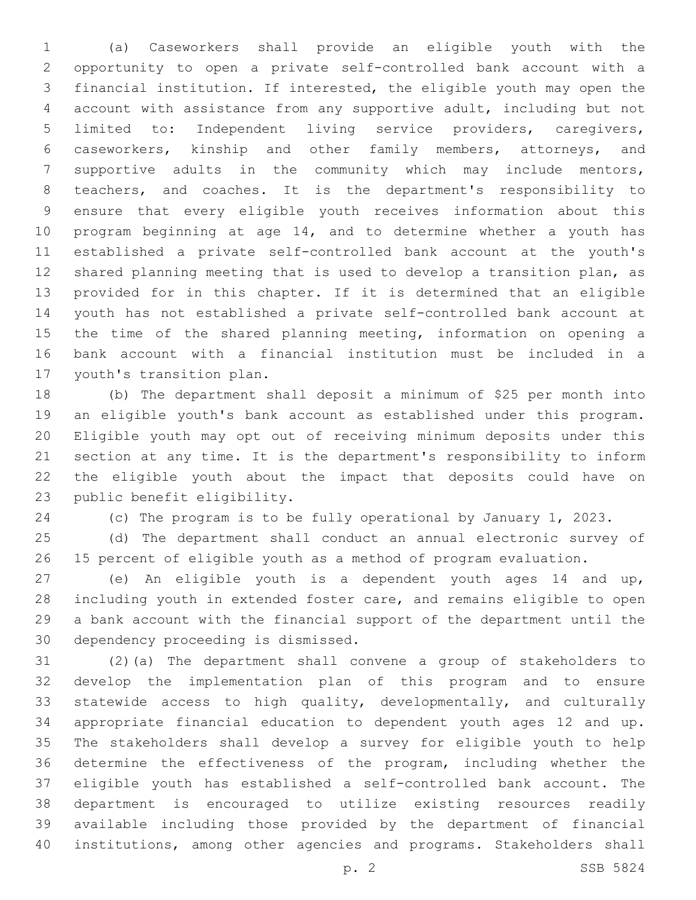(a) Caseworkers shall provide an eligible youth with the opportunity to open a private self-controlled bank account with a financial institution. If interested, the eligible youth may open the account with assistance from any supportive adult, including but not limited to: Independent living service providers, caregivers, caseworkers, kinship and other family members, attorneys, and supportive adults in the community which may include mentors, teachers, and coaches. It is the department's responsibility to ensure that every eligible youth receives information about this program beginning at age 14, and to determine whether a youth has established a private self-controlled bank account at the youth's shared planning meeting that is used to develop a transition plan, as provided for in this chapter. If it is determined that an eligible youth has not established a private self-controlled bank account at the time of the shared planning meeting, information on opening a bank account with a financial institution must be included in a 17 youth's transition plan.

 (b) The department shall deposit a minimum of \$25 per month into an eligible youth's bank account as established under this program. Eligible youth may opt out of receiving minimum deposits under this section at any time. It is the department's responsibility to inform the eligible youth about the impact that deposits could have on 23 public benefit eligibility.

(c) The program is to be fully operational by January 1, 2023.

 (d) The department shall conduct an annual electronic survey of 15 percent of eligible youth as a method of program evaluation.

 (e) An eligible youth is a dependent youth ages 14 and up, including youth in extended foster care, and remains eligible to open a bank account with the financial support of the department until the 30 dependency proceeding is dismissed.

 (2)(a) The department shall convene a group of stakeholders to develop the implementation plan of this program and to ensure statewide access to high quality, developmentally, and culturally appropriate financial education to dependent youth ages 12 and up. The stakeholders shall develop a survey for eligible youth to help determine the effectiveness of the program, including whether the eligible youth has established a self-controlled bank account. The department is encouraged to utilize existing resources readily available including those provided by the department of financial institutions, among other agencies and programs. Stakeholders shall